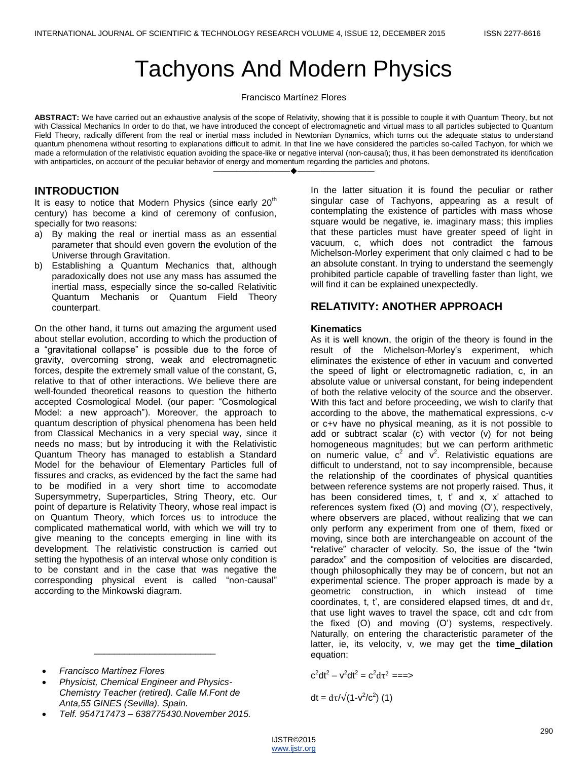# Tachyons And Modern Physics

Francisco Martínez Flores

**ABSTRACT:** We have carried out an exhaustive analysis of the scope of Relativity, showing that it is possible to couple it with Quantum Theory, but not with Classical Mechanics In order to do that, we have introduced the concept of electromagnetic and virtual mass to all particles subjected to Quantum Field Theory, radically different from the real or inertial mass included in Newtonian Dynamics, which turns out the adequate status to understand quantum phenomena without resorting to explanations difficult to admit. In that line we have considered the particles so-called Tachyon, for which we made a reformulation of the relativistic equation avoiding the space-like or negative interval (non-causal); thus, it has been demonstrated its identification with antiparticles, on account of the peculiar behavior of energy and momentum regarding the particles and photons.

————————————————————

# **INTRODUCTION**

It is easy to notice that Modern Physics (since early  $20<sup>th</sup>$ century) has become a kind of ceremony of confusion, specially for two reasons:

- a) By making the real or inertial mass as an essential parameter that should even govern the evolution of the Universe through Gravitation.
- b) Establishing a Quantum Mechanics that, although paradoxically does not use any mass has assumed the inertial mass, especially since the so-called Relativitic Quantum Mechanis or Quantum Field Theory counterpart.

On the other hand, it turns out amazing the argument used about stellar evolution, according to which the production of a "gravitational collapse" is possible due to the force of gravity, overcoming strong, weak and electromagnetic forces, despite the extremely small value of the constant, G, relative to that of other interactions. We believe there are well-founded theoretical reasons to question the hitherto accepted Cosmological Model. (our paper: "Cosmological Model: a new approach"). Moreover, the approach to quantum description of physical phenomena has been held from Classical Mechanics in a very special way, since it needs no mass; but by introducing it with the Relativistic Quantum Theory has managed to establish a Standard Model for the behaviour of Elementary Particles full of fissures and cracks, as evidenced by the fact the same had to be modified in a very short time to accomodate Supersymmetry, Superparticles, String Theory, etc. Our point of departure is Relativity Theory, whose real impact is on Quantum Theory, which forces us to introduce the complicated mathematical world, with which we will try to give meaning to the concepts emerging in line with its development. The relativistic construction is carried out setting the hypothesis of an interval whose only condition is to be constant and in the case that was negative the corresponding physical event is called "non-causal" according to the Minkowski diagram.

- *Francisco Martínez Flores*
- *Physicist, Chemical Engineer and Physics-Chemistry Teacher (retired). Calle M.Font de Anta,55 GINES (Sevilla). Spain.*

\_\_\_\_\_\_\_\_\_\_\_\_\_\_\_\_\_\_\_\_\_\_\_\_

*Telf. 954717473 – 638775430.November 2015.*

In the latter situation it is found the peculiar or rather singular case of Tachyons, appearing as a result of contemplating the existence of particles with mass whose square would be negative, ie. imaginary mass; this implies that these particles must have greater speed of light in vacuum, c, which does not contradict the famous Michelson-Morley experiment that only claimed c had to be an absolute constant. In trying to understand the seemengly prohibited particle capable of travelling faster than light, we will find it can be explained unexpectedly.

# **RELATIVITY: ANOTHER APPROACH**

#### **Kinematics**

As it is well known, the origin of the theory is found in the result of the Michelson-Morley's experiment, which eliminates the existence of ether in vacuum and converted the speed of light or electromagnetic radiation, c, in an absolute value or universal constant, for being independent of both the relative velocity of the source and the observer. With this fact and before proceeding, we wish to clarify that according to the above, the mathematical expressions, c-v or c+v have no physical meaning, as it is not possible to add or subtract scalar (c) with vector (v) for not being homogeneous magnitudes; but we can perform arithmetic on numeric value,  $c^2$  and  $v^2$ . Relativistic equations are difficult to understand, not to say incomprensible, because the relationship of the coordinates of physical quantities between reference systems are not properly raised. Thus, it has been considered times, t, t' and x, x' attached to references system fixed (O) and moving (O'), respectively, where observers are placed, without realizing that we can only perform any experiment from one of them, fixed or moving, since both are interchangeable on account of the "relative" character of velocity. So, the issue of the "twin paradox" and the composition of velocities are discarded, though philosophically they may be of concern, but not an experimental science. The proper approach is made by a geometric construction, in which instead of time coordinates, t, t', are considered elapsed times, dt and  $d\tau$ , that use light waves to travel the space, cdt and  $cd\tau$  from the fixed (O) and moving (O') systems, respectively. Naturally, on entering the characteristic parameter of the latter, ie, its velocity, v, we may get the **time dilation** equation:

$$
c^2 dt^2 - v^2 dt^2 = c^2 d\tau^2
$$
 = ==

$$
dt = d\tau/\sqrt{(1-v^2/c^2)}
$$
 (1)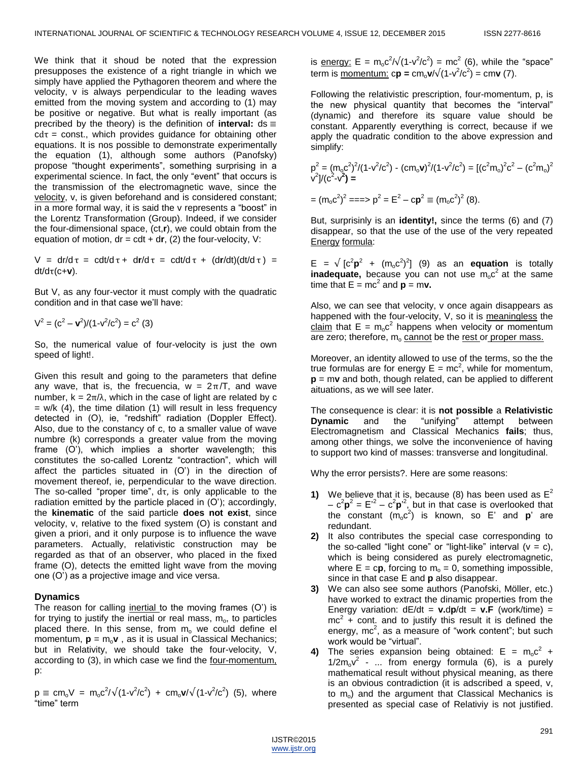We think that it shoud be noted that the expression presupposes the existence of a right triangle in which we simply have applied the Pythagoren theorem and where the velocity, v is always perpendicular to the leading waves emitted from the moving system and according to (1) may be positive or negative. But what is really important (as precribed by the theory) is the definition of **interval:**  $ds \equiv$  $cd\tau$  = const., which provides guidance for obtaining other equations. It is nos possible to demonstrate experimentally the equation (1), although some authors (Panofsky) propose "thought experiments", something surprising in a experimental science. In fact, the only "event" that occurs is the transmission of the electromagnetic wave, since the velocity, v, is given beforehand and is considered constant; in a more formal way, it is said the v represents a "boost" in the Lorentz Transformation (Group). Indeed, if we consider the four-dimensional space, (ct,**r**), we could obtain from the equation of motion,  $dr = cdt + dr$ , (2) the four-velocity, V:

 $V = dr/d\tau = cdt/d\tau + dr/d\tau = cdt/d\tau + (dr/dt)(dt/d\tau) =$  $dt/d\tau (c+v)$ .

But V, as any four-vector it must comply with the quadratic condition and in that case we'll have:

$$
V^2 = (c^2 - v^2)/(1 - v^2/c^2) = c^2
$$
 (3)

So, the numerical value of four-velocity is just the own speed of light!.

Given this result and going to the parameters that define any wave, that is, the frecuencia,  $w = 2\pi/T$ , and wave number,  $k = 2\pi/\lambda$ , which in the case of light are related by c  $=$  w/k (4), the time dilation (1) will result in less frequency detected in (O), ie, "redshift" radiation (Doppler Effect). Also, due to the constancy of c, to a smaller value of wave numbre (k) corresponds a greater value from the moving frame (O'), which implies a shorter wavelength; this constitutes the so-called Lorentz "contraction", which will affect the particles situated in (O') in the direction of movement thereof, ie, perpendicular to the wave direction. The so-called "proper time",  $d\tau$ , is only applicable to the radiation emitted by the particle placed in (O'); accordingly, the **kinematic** of the said particle **does not exist**, since velocity, v, relative to the fixed system (O) is constant and given a priori, and it only purpose is to influence the wave parameters. Actually, relativistic construction may be regarded as that of an observer, who placed in the fixed frame (O), detects the emitted light wave from the moving one (O') as a projective image and vice versa.

## **Dynamics**

The reason for calling inertial to the moving frames (O') is for trying to justify the inertial or real mass,  $m<sub>o</sub>$ , to particles placed there. In this sense, from  $m_0$  we could define el momentum,  $\mathbf{p} = m_0 \mathbf{v}$ , as it is usual in Classical Mechanics; but in Relativity, we should take the four-velocity, V, according to (3), in which case we find the <u>four-momentum,</u> p:

 $p \equiv cm_0 V = m_0 c^2 / \sqrt{(1 - v^2/c^2)} + cm_0 v / \sqrt{(1 - v^2/c^2)}$  (5), where "time" term

is <u>energy:</u> E =  $m_0 c^2 / \sqrt{(1-v^2/c^2)}$  =  $mc^2$  (6), while the "space" term is <u>momentum:</u>  $c\mathbf{p} = c m_o \mathbf{v} / \sqrt{(1 - v^2/c^2)} = c m \mathbf{v}$  (7).

Following the relativistic prescription, four-momentum, p, is the new physical quantity that becomes the "interval" (dynamic) and therefore its square value should be constant. Apparently everything is correct, because if we apply the quadratic condition to the above expression and simplify:

$$
p^{2} = (m_{o}c^{2})^{2}/(1-v^{2}/c^{2}) - (cm_{o}v)^{2}/(1-v^{2}/c^{2}) = [(c^{2}m_{o})^{2}c^{2} - (c^{2}m_{o})^{2}
$$
  
\n
$$
v^{2}/(c^{2} - v^{2}) =
$$
  
\n
$$
= (m_{o}c^{2})^{2} == \Rightarrow p^{2} = E^{2} - cp^{2} \equiv (m_{o}c^{2})^{2} (8).
$$

But, surprisinly is an **identity!,** since the terms (6) and (7) disappear, so that the use of the use of the very repeated Energy formula:

 $E = \sqrt{c^2 p^2 + (m_0 c^2)^2}$  (9) as an **equation** is totally inadequate, because you can not use m<sub>o</sub>c<sup>2</sup> at the same time that  $E = mc^2$  and  $p = mv$ .

Also, we can see that velocity, v once again disappears as happened with the four-velocity, V, so it is meaningless the claim that  $E = m_0 c^2$  happens when velocity or momentum are zero; therefore,  $m_0$  cannot be the rest or proper mass.

Moreover, an identity allowed to use of the terms, so the the true formulas are for energy  $E = mc^2$ , while for momentum, **p** = m**v** and both, though related, can be applied to different aituations, as we will see later.

The consequence is clear: it is **not possible** a **Relativistic Dynamic** and the "unifying" attempt between Electromagnetism and Classical Mechanics **fails**; thus, among other things, we solve the inconvenience of having to support two kind of masses: transverse and longitudinal.

Why the error persists?. Here are some reasons:

- **1)** We believe that it is, because (8) has been used as  $E^2$  $-c^2p^2 = E'^2 - c^2p'^2$ , but in that case is overlooked that the constant  $(m_0c^2)$  is known, so E' and **p**' are redundant.
- **2)** It also contributes the special case corresponding to the so-called "light cone" or "light-like" interval  $(v = c)$ , which is being considered as purely electromagnetic. where  $E = cp$ , forcing to  $m_0 = 0$ , something impossible, since in that case E and **p** also disappear.
- **3)** We can also see some authors (Panofski, Möller, etc.) have worked to extract the dinamic properties from the Energy variation:  $dE/dt = v \cdot dp/dt = v \cdot F$  (work/time) =  $mc^2$  + cont. and to justify this result it is defined the energy,  $mc^2$ , as a measure of "work content"; but such work would be "virtual".
- 4) The series expansion being obtained:  $E = m_0 c^2 +$  $1/2m_0v^2$  - ... from energy formula (6), is a purely mathematical result without physical meaning, as there is an obvious contradiction (it is adscribed a speed, v, to  $m<sub>o</sub>$ ) and the argument that Classical Mechanics is presented as special case of Relativiy is not justified.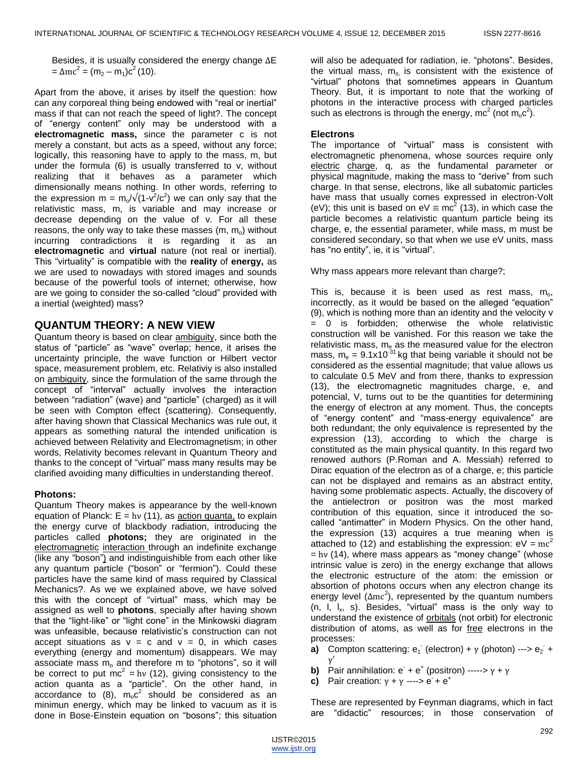Besides, it is usually considered the energy change  $\Delta E$  $= \Delta mc^2 = (m_2 - m_1)c^2 (10).$ 

Apart from the above, it arises by itself the question: how can any corporeal thing being endowed with "real or inertial" mass if that can not reach the speed of light?. The concept of "energy content" only may be understood with a **electromagnetic mass,** since the parameter c is not merely a constant, but acts as a speed, without any force; logically, this reasoning have to apply to the mass, m, but under the formula (6) is usually transferred to v, without realizing that it behaves as a parameter which dimensionally means nothing. In other words, referring to the expression m =  $m_o/\sqrt{(1-v^2/c^2)}$  we can only say that the relativistic mass, m, is variable and may increase or decrease depending on the value of v. For all these reasons, the only way to take these masses  $(m, m_0)$  without incurring contradictions it is regarding it as an **electromagnetic** and **virtual** nature (not real or inertial). This ―virtuality‖ is compatible with the **reality** of **energy,** as we are used to nowadays with stored images and sounds because of the powerful tools of internet; otherwise, how are we going to consider the so-called "cloud" provided with a inertial (weighted) mass?

## **QUANTUM THEORY: A NEW VIEW**

Quantum theory is based on clear ambiguity, since both the status of "particle" as "wave" overlap; hence, it arises the uncertainty principle, the wave function or Hilbert vector space, measurement problem, etc. Relativiy is also installed on ambiguity, since the formulation of the same through the concept of "interval" actually involves the interaction between "radiation" (wave) and "particle" (charged) as it will be seen with Compton effect (scattering). Consequently, after having shown that Classical Mechanics was rule out, it appears as something natural the intended unification is achieved between Relativity and Electromagnetism; in other words, Relativity becomes relevant in Quantum Theory and thanks to the concept of "virtual" mass many results may be clarified avoiding many difficulties in understanding thereof.

#### **Photons:**

Quantum Theory makes is appearance by the well-known equation of Planck:  $E = hv(11)$ , as action quanta, to explain the energy curve of blackbody radiation, introducing the particles called **photons;** they are originated in the electromagnetic interaction through an indefinite exchange (like any "boson") and indistinguishible from each other like any quantum particle ("boson" or "fermion"). Could these particles have the same kind of mass required by Classical Mechanics?. As we we explained above, we have solved this with the concept of "virtual" mass, which may be assigned as well to **photons**, specially after having shown that the "light-like" or "light cone" in the Minkowski diagram was unfeasible, because relativistic's construction can not accept situations as  $v = c$  and  $v = 0$ , in which cases everything (energy and momentum) disappears. We may associate mass  $m_0$  and therefore m to "photons", so it will be correct to put  $mc^2 = hv$  (12), giving consistency to the action quanta as a "particle". On the other hand, in accordance to (8),  $m_0 c^2$  should be considered as an minimun energy, which may be linked to vacuum as it is done in Bose-Einstein equation on "bosons"; this situation

will also be adequated for radiation, ie. "photons". Besides, the virtual mass,  $m_0$  is consistent with the existence of "virtual" photons that somnetimes appears in Quantum Theory. But, it is important to note that the working of photons in the interactive process with charged particles such as electrons is through the energy, mc<sup>2</sup> (not m<sub>o</sub>c<sup>2</sup>).

#### **Electrons**

The importance of "virtual" mass is consistent with electromagnetic phenomena, whose sources require only electric charge, q, as the fundamental parameter or physical magnitude, making the mass to "derive" from such charge. In that sense, electrons, like all subatomic particles have mass that usually comes expressed in electron-Volt (eV); this unit is based on eV  $\equiv$  mc<sup>2</sup> (13), in which case the particle becomes a relativistic quantum particle being its charge, e, the essential parameter, while mass, m must be considered secondary, so that when we use eV units, mass has "no entity", ie, it is "virtual".

Why mass appears more relevant than charge?;

This is, because it is been used as rest mass,  $m_o$ , incorrectly, as it would be based on the alleged "equation" (9), which is nothing more than an identity and the velocity v = 0 is forbidden; otherwise the whole relativistic construction will be vanished. For this reason we take the relativistic mass, m<sub>e</sub> as the measured value for the electron mass,  $m_e = 9.1x10^{-31}$  kg that being variable it should not be considered as the essential magnitude; that value allows us to calculate 0.5 MeV and from there, thanks to expression (13), the electromagnetic magnitudes charge, e, and potencial, V, turns out to be the quantities for determining the energy of electron at any moment. Thus, the concepts of "energy content" and "mass-energy equivalence" are both redundant; the only equivalence is represented by the expression (13), according to which the charge is constituted as the main physical quantity. In this regard two renowed authors (P.Roman and A. Messiah) referred to Dirac equation of the electron as of a charge, e; this particle can not be displayed and remains as an abstract entity, having some problematic aspects. Actually, the discovery of the antielectron or positron was the most marked contribution of this equation, since it introduced the socalled "antimatter" in Modern Physics. On the other hand, the expression (13) acquires a true meaning when is attached to (12) and establishing the expression:  $eV = mc^2$  $=$  hv (14), where mass appears as "money change" (whose intrinsic value is zero) in the energy exchange that allows the electronic estructure of the atom: the emission or absortion of photons occurs when any electron change its energy level  $(\Delta mc^2)$ , represented by the quantum numbers  $(n, l, l_x, s)$ . Besides, "virtual" mass is the only way to understand the existence of orbitals (not orbit) for electronic distribution of atoms, as well as for free electrons in the processes:

- **a)** Compton scattering:  $e_1$  (electron) +  $\gamma$  (photon) --->  $e_2$  + Ý
- **b)** Pair annihilation:  $e^+ + e^+$  (positron) ----->  $\gamma$  +
- **c)** Pair creation:  $y + y$  ---->  $e^+ + e^+$

These are represented by Feynman diagrams, which in fact are "didactic" resources; in those conservation of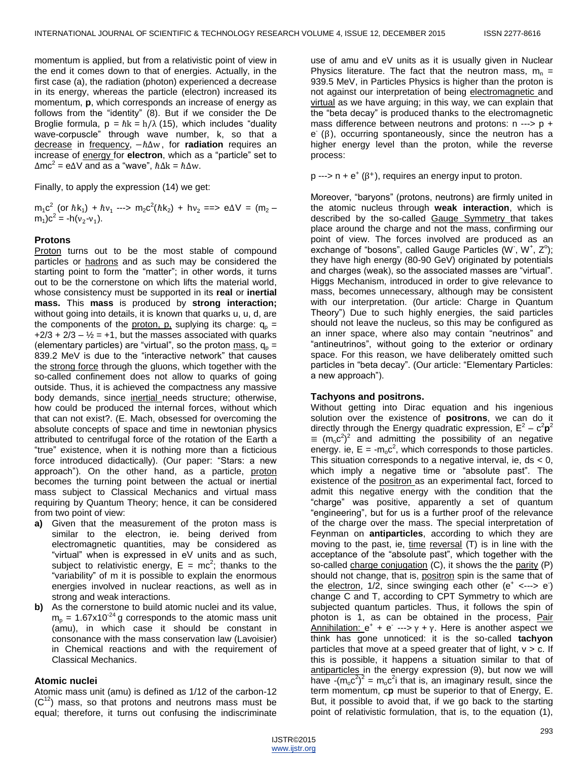momentum is applied, but from a relativistic point of view in the end it comes down to that of energies. Actually, in the first case (a), the radiation (photon) experienced a decrease in its energy, whereas the particle (electron) increased its momentum, **p**, which corresponds an increase of energy as follows from the "identity" (8). But if we consider the De Broglie formula,  $p = \hbar k = h/\lambda$  (15), which includes "duality wave-corpuscle" through wave number, k, so that a decrease in frequency,  $-\hbar\Delta w$ , for **radiation** requires an increase of energy for electron, which as a "particle" set to  $\Delta mc^2 = e \Delta V$  and as a "wave",  $\hbar \Delta k = \hbar \Delta w$ .

Finally, to apply the expression (14) we get:

 $m_1 c^2$  (or  $\hbar k_1$ ) +  $\hbar v_1$  --->  $m_2 c^2(\hbar k_2)$  +  $h v_2$  ==>  $e \Delta V$  = (m<sub>2</sub> –  $m_1$ ) $c^2 = -h(v_2-v_1)$ .

#### **Protons**

Proton turns out to be the most stable of compound particles or hadrons and as such may be considered the starting point to form the "matter"; in other words, it turns out to be the cornerstone on which lifts the material world, whose consistency must be supported in its **real** or **inertial mass.** This **mass** is produced by **strong interaction;** without going into details, it is known that quarks u, u, d, are the components of the proton, p, suplying its charge:  $q_p =$  $+2/3 + 2/3 - 1/2 = +1$ , but the masses associated with quarks (elementary particles) are "virtual", so the proton mass,  $q_p =$ 839.2 MeV is due to the "interactive network" that causes the strong force through the gluons, which together with the so-called confinement does not allow to quarks of going outside. Thus, it is achieved the compactness any massive body demands, since inertial needs structure; otherwise, how could be produced the internal forces, without which that can not exist?. (E. Mach, obsessed for overcoming the absolute concepts of space and time in newtonian physics attributed to centrifugal force of the rotation of the Earth a ―true‖ existence, when it is nothing more than a ficticious force introduced didactically). (Our paper: "Stars: a new approach‖). On the other hand, as a particle, proton becomes the turning point between the actual or inertial mass subject to Classical Mechanics and virtual mass requiring by Quantum Theory; hence, it can be considered from two point of view:

- **a)** Given that the measurement of the proton mass is similar to the electron, ie. being derived from electromagnetic quantities, may be considered as "virtual" when is expressed in eV units and as such, subject to relativistic energy,  $E = mc^2$ ; thanks to the "variability" of m it is possible to explain the enormous energies involved in nuclear reactions, as well as in strong and weak interactions.
- **b)** As the cornerstone to build atomic nuclei and its value,  $m_p = 1.67 \times 10^{-24}$  g corresponds to the atomic mass unit (amu), in which case it should be constant in consonance with the mass conservation law (Lavoisier) in Chemical reactions and with the requirement of Classical Mechanics.

#### **Atomic nuclei**

Atomic mass unit (amu) is defined as 1/12 of the carbon-12  $(C^{12})$  mass, so that protons and neutrons mass must be equal; therefore, it turns out confusing the indiscriminate

use of amu and eV units as it is usually given in Nuclear Physics literature. The fact that the neutron mass,  $m_n =$ 939.5 MeV, in Particles Physics is higher than the proton is not against our interpretation of being electromagnetic and virtual as we have arguing; in this way, we can explain that the "beta decay" is produced thanks to the electromagnetic mass difference between neutrons and protons: n ---> p +  $e^{i}(\beta)$ , occurring spontaneously, since the neutron has a higher energy level than the proton, while the reverse process:

 $p \longrightarrow n + e^+ (\beta^+),$  requires an energy input to proton.

Moreover, "baryons" (protons, neutrons) are firmly united in the atomic nucleus through **weak interaction**, which is described by the so-called Gauge Symmetry that takes place around the charge and not the mass, confirming our point of view. The forces involved are produced as an exchange of "bosons", called Gauge Particles (W, W<sup>+</sup>, Z<sup>o</sup>); they have high energy (80-90 GeV) originated by potentials and charges (weak), so the associated masses are "virtual". Higgs Mechanism, introduced in order to give relevance to mass, becomes unnecessary, although may be consistent with our interpretation. (0ur article: Charge in Quantum Theory") Due to such highly energies, the said particles should not leave the nucleus, so this may be configured as an inner space, where also may contain "neutrinos" and "antineutrinos", without going to the exterior or ordinary space. For this reason, we have deliberately omitted such particles in "beta decay". (Our article: "Elementary Particles: a new approach").

#### **Tachyons and positrons.**

Without getting into Dirac equation and his ingenious solution over the existence of **positrons**, we can do it directly through the Energy quadratic expression,  $E^2 - c^2p^2$  $\equiv (m_0 c^2)^2$  and admitting the possibility of an negative energy. ie,  $E = -m_0 c^2$ , which corresponds to those particles. This situation corresponds to a negative interval, ie,  $ds < 0$ , which imply a negative time or "absolute past". The existence of the positron as an experimental fact, forced to admit this negative energy with the condition that the ―charge‖ was positive, apparently a set of quantum "engineering", but for us is a further proof of the relevance of the charge over the mass. The special interpretation of Feynman on **antiparticles**, according to which they are moving to the past, ie,  $time$  reversal  $(T)$  is in line with the acceptance of the "absolute past", which together with the so-called charge conjugation (C), it shows the the parity (P) should not change, that is, positron spin is the same that of the electron,  $1/2$ , since swinging each other  $(e^+ \leftarrow e^-)$ change C and T, according to CPT Symmetry to which are subjected quantum particles. Thus, it follows the spin of photon is 1, as can be obtained in the process, Pair  $\frac{1}{2}$ Annihilation:  $e^+ + e^- \rightarrow \gamma + \gamma$ . Here is another aspect we think has gone unnoticed: it is the so-called **tachyon** particles that move at a speed greater that of light,  $v > c$ . If this is possible, it happens a situation similar to that of antiparticles in the energy expression (9), but now we will have  $-(m_0c^2)^2 = m_0c^2$  that is, an imaginary result, since the term momentum, c**p** must be superior to that of Energy, E. But, it possible to avoid that, if we go back to the starting point of relativistic formulation, that is, to the equation (1),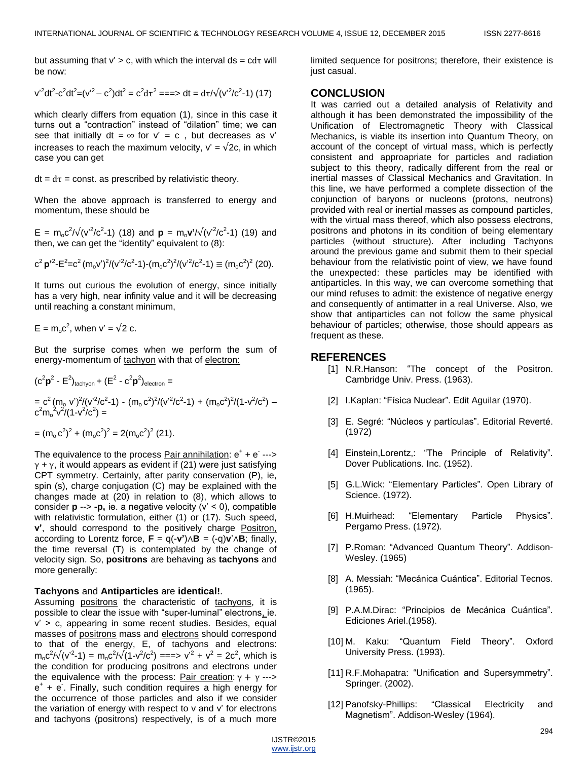but assuming that  $v' > c$ , with which the interval ds =  $cd\tau$  will be now:

$$
v^{2}dt^{2}-c^{2}dt^{2}=(v^{2}-c^{2})dt^{2}=c^{2}d\tau^{2}=\Longrightarrow dt=d\tau/\sqrt{(v^{2}/c^{2}-1)(17)}
$$

which clearly differs from equation (1), since in this case it turns out a "contraction" instead of "dilation" time; we can see that initially dt =  $\infty$  for v' = c, but decreases as v' increases to reach the maximum velocity,  $v' = \sqrt{2c}$ , in which case you can get

 $dt = d\tau$  = const. as prescribed by relativistic theory.

When the above approach is transferred to energy and momentum, these should be

 $E = m_0 c^2 / \sqrt{(v^2/c^2-1)}$  (18) and  $\mathbf{p} = m_0 \mathbf{v}' / \sqrt{(v^2/c^2-1)}$  (19) and then, we can get the "identity" equivalent to  $(8)$ :

$$
c^2 \mathbf{p'}^2 - E^2 = c^2 (m_0 v')^2 / (v'^2 / c^2 - 1) - (m_0 c^2)^2 / (v'^2 / c^2 - 1) \equiv (m_0 c^2)^2 (20).
$$

It turns out curious the evolution of energy, since initially has a very high, near infinity value and it will be decreasing until reaching a constant minimum,

$$
E = m_0 c^2
$$
, when  $v' = \sqrt{2} c$ .

But the surprise comes when we perform the sum of energy-momentum of tachyon with that of electron:

$$
(c2p2 - E2)tachyon + (E2 - c2p2)electron == c2 (mo v')2/(v'2/c2-1) - (mo c2)2/(v'2/c2-1) + (mo c2)2/(1-v2/c2) –c2mo2v2/(1-v2/c2) == (mo c2)2 + (mo c2)2 = 2(mo c2)2 (21).
$$

The equivalence to the process **Pair annihilation**:  $e^+ + e^- \rightarrow$  $y + y$ , it would appears as evident if (21) were just satisfying CPT symmetry. Certainly, after parity conservation (P), ie, spin (s), charge conjugation (C) may be explained with the changes made at (20) in relation to (8), which allows to consider  $p \rightarrow -p$ , ie. a negative velocity ( $v' < 0$ ), compatible with relativistic formulation, either (1) or (17). Such speed, **v'**, should correspond to the positively charge Positron, according to Lorentz force,  $\mathbf{F} = q(-\mathbf{v}^*) \wedge \mathbf{B} = (-q)\mathbf{v}^* \wedge \mathbf{B}$ ; finally, the time reversal (T) is contemplated by the change of velocity sign. So, **positrons** are behaving as **tachyons** and more generally:

#### **Tachyons** and **Antiparticles** are **identical!**.

Assuming positrons the characteristic of tachyons, it is possible to clear the issue with "super-luminal" electrons, ie.  $v' > c$ , appearing in some recent studies. Besides, equal masses of positrons mass and electrons should correspond to that of the energy, E, of tachyons and electrons:  $m_0 c^2 / \sqrt{(v^2-1)} = m_0 c^2 / \sqrt{(1-v^2/c^2)} = = \Rightarrow v^2 + v^2 = 2c^2$ , which is the condition for producing positrons and electrons under the equivalence with the process: Pair creation:  $\gamma + \gamma$  ---> e + + e - . Finally, such condition requires a high energy for the occurrence of those particles and also if we consider the variation of energy with respect to v and v' for electrons and tachyons (positrons) respectively, is of a much more

limited sequence for positrons; therefore, their existence is just casual.

#### **CONCLUSION**

It was carried out a detailed analysis of Relativity and although it has been demonstrated the impossibility of the Unification of Electromagnetic Theory with Classical Mechanics, is viable its insertion into Quantum Theory, on account of the concept of virtual mass, which is perfectly consistent and approapriate for particles and radiation subject to this theory, radically different from the real or inertial masses of Classical Mechanics and Gravitation. In this line, we have performed a complete dissection of the conjunction of baryons or nucleons (protons, neutrons) provided with real or inertial masses as compound particles, with the virtual mass thereof, which also possess electrons, positrons and photons in its condition of being elementary particles (without structure). After including Tachyons around the previous game and submit them to their special behaviour from the relativistic point of view, we have found the unexpected: these particles may be identified with antiparticles. In this way, we can overcome something that our mind refuses to admit: the existence of negative energy and consequently of antimatter in a real Universe. Also, we show that antiparticles can not follow the same physical behaviour of particles; otherwise, those should appears as frequent as these.

## **REFERENCES**

- [1] N.R.Hanson: "The concept of the Positron. Cambridge Univ. Press. (1963).
- [2] I.Kaplan: "Física Nuclear". Edit Aguilar (1970).
- [3] E. Segré: "Núcleos y partículas". Editorial Reverté. (1972)
- [4] Einstein, Lorentz,: "The Principle of Relativity". Dover Publications. Inc. (1952).
- [5] G.L.Wick: "Elementary Particles". Open Library of Science. (1972).
- [6] H.Muirhead: "Elementary Particle Physics". Pergamo Press. (1972).
- [7] P.Roman: "Advanced Quantum Theory". Addison-Wesley. (1965)
- [8] A. Messiah: "Mecánica Cuántica". Editorial Tecnos. (1965).
- [9] P.A.M.Dirac: "Principios de Mecánica Cuántica". Ediciones Ariel.(1958).
- [10] M. Kaku: "Quantum Field Theory". Oxford University Press. (1993).
- [11] R.F.Mohapatra: "Unification and Supersymmetry". Springer. (2002).
- [12] Panofsky-Phillips: "Classical Electricity and Magnetism". Addison-Wesley (1964).